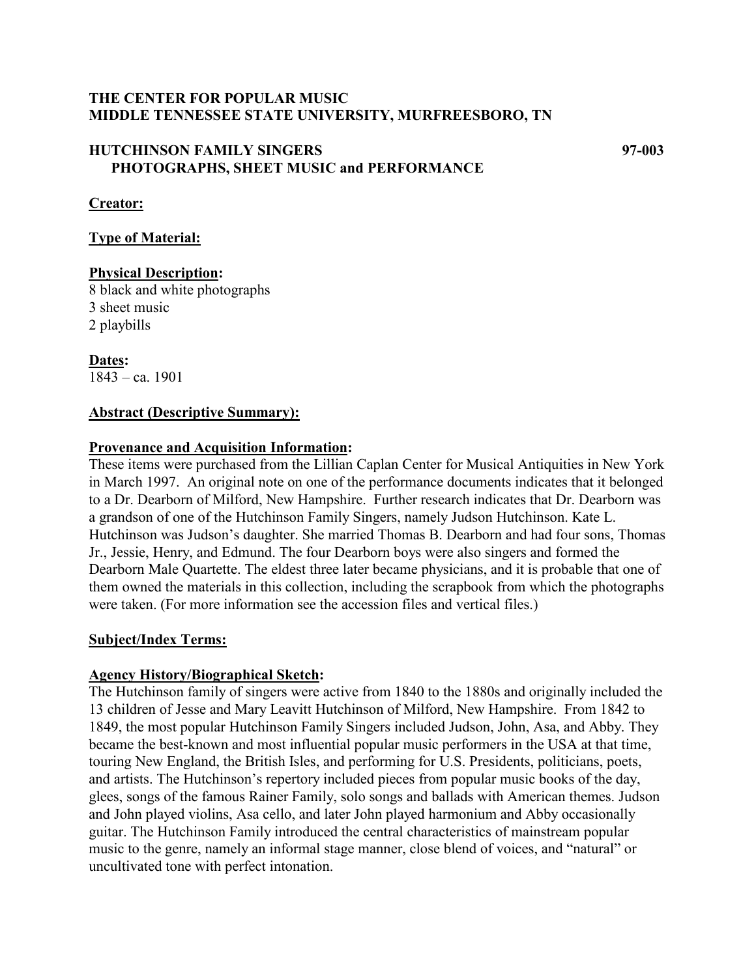## **THE CENTER FOR POPULAR MUSIC MIDDLE TENNESSEE STATE UNIVERSITY, MURFREESBORO, TN**

## **HUTCHINSON FAMILY SINGERS 97-003 PHOTOGRAPHS, SHEET MUSIC and PERFORMANCE**

## **Creator:**

## **Type of Material:**

## **Physical Description:**

8 black and white photographs 3 sheet music 2 playbills

**Dates:** 1843 – ca. 1901

## **Abstract (Descriptive Summary):**

#### **Provenance and Acquisition Information:**

These items were purchased from the Lillian Caplan Center for Musical Antiquities in New York in March 1997. An original note on one of the performance documents indicates that it belonged to a Dr. Dearborn of Milford, New Hampshire. Further research indicates that Dr. Dearborn was a grandson of one of the Hutchinson Family Singers, namely Judson Hutchinson. Kate L. Hutchinson was Judson's daughter. She married Thomas B. Dearborn and had four sons, Thomas Jr., Jessie, Henry, and Edmund. The four Dearborn boys were also singers and formed the Dearborn Male Quartette. The eldest three later became physicians, and it is probable that one of them owned the materials in this collection, including the scrapbook from which the photographs were taken. (For more information see the accession files and vertical files.)

#### **Subject/Index Terms:**

## **Agency History/Biographical Sketch:**

The Hutchinson family of singers were active from 1840 to the 1880s and originally included the 13 children of Jesse and Mary Leavitt Hutchinson of Milford, New Hampshire. From 1842 to 1849, the most popular Hutchinson Family Singers included Judson, John, Asa, and Abby. They became the best-known and most influential popular music performers in the USA at that time, touring New England, the British Isles, and performing for U.S. Presidents, politicians, poets, and artists. The Hutchinson's repertory included pieces from popular music books of the day, glees, songs of the famous Rainer Family, solo songs and ballads with American themes. Judson and John played violins, Asa cello, and later John played harmonium and Abby occasionally guitar. The Hutchinson Family introduced the central characteristics of mainstream popular music to the genre, namely an informal stage manner, close blend of voices, and "natural" or uncultivated tone with perfect intonation.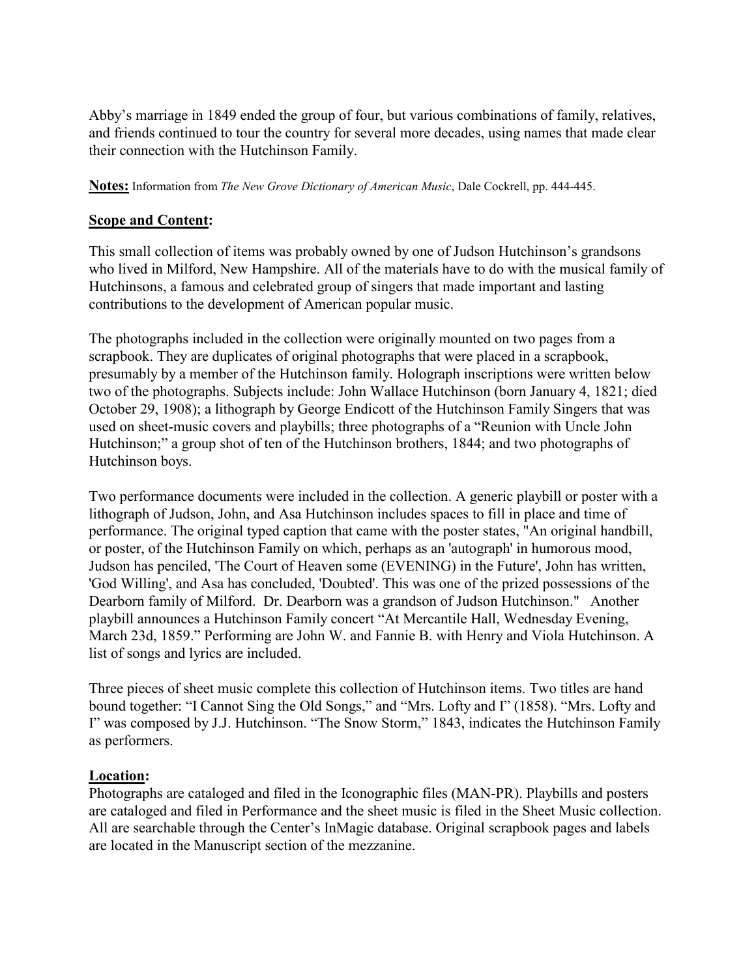Abby's marriage in 1849 ended the group of four, but various combinations of family, relatives, and friends continued to tour the country for several more decades, using names that made clear their connection with the Hutchinson Family.

**Notes:** Information from *The New Grove Dictionary of American Music*, Dale Cockrell, pp. 444-445.

#### **Scope and Content:**

This small collection of items was probably owned by one of Judson Hutchinson's grandsons who lived in Milford, New Hampshire. All of the materials have to do with the musical family of Hutchinsons, a famous and celebrated group of singers that made important and lasting contributions to the development of American popular music.

The photographs included in the collection were originally mounted on two pages from a scrapbook. They are duplicates of original photographs that were placed in a scrapbook, presumably by a member of the Hutchinson family. Holograph inscriptions were written below two of the photographs. Subjects include: John Wallace Hutchinson (born January 4, 1821; died October 29, 1908); a lithograph by George Endicott of the Hutchinson Family Singers that was used on sheet-music covers and playbills; three photographs of a "Reunion with Uncle John Hutchinson;" a group shot of ten of the Hutchinson brothers, 1844; and two photographs of Hutchinson boys.

Two performance documents were included in the collection. A generic playbill or poster with a lithograph of Judson, John, and Asa Hutchinson includes spaces to fill in place and time of performance. The original typed caption that came with the poster states, "An original handbill, or poster, of the Hutchinson Family on which, perhaps as an 'autograph' in humorous mood, Judson has penciled, 'The Court of Heaven some (EVENING) in the Future', John has written, 'God Willing', and Asa has concluded, 'Doubted'. This was one of the prized possessions of the Dearborn family of Milford. Dr. Dearborn was a grandson of Judson Hutchinson." Another playbill announces a Hutchinson Family concert "At Mercantile Hall, Wednesday Evening, March 23d, 1859." Performing are John W. and Fannie B. with Henry and Viola Hutchinson. A list of songs and lyrics are included.

Three pieces of sheet music complete this collection of Hutchinson items. Two titles are hand bound together: "I Cannot Sing the Old Songs," and "Mrs. Lofty and I" (1858). "Mrs. Lofty and I" was composed by J.J. Hutchinson. "The Snow Storm," 1843, indicates the Hutchinson Family as performers.

## **Location:**

Photographs are cataloged and filed in the Iconographic files (MAN-PR). Playbills and posters are cataloged and filed in Performance and the sheet music is filed in the Sheet Music collection. All are searchable through the Center's InMagic database. Original scrapbook pages and labels are located in the Manuscript section of the mezzanine.